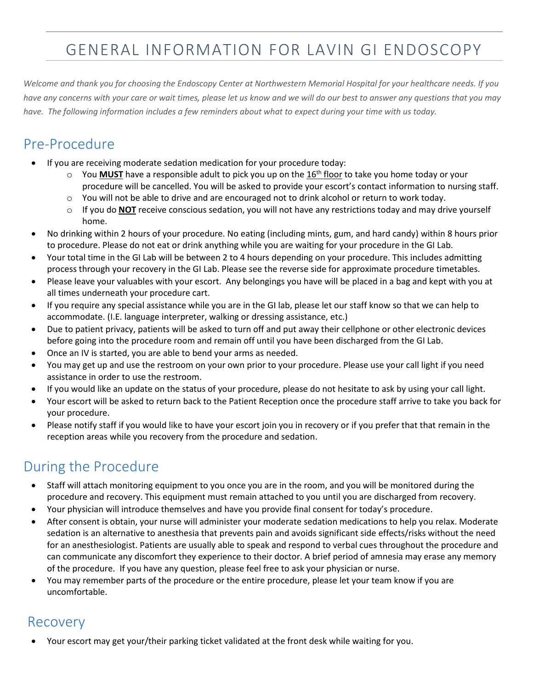# GENERAL INFORMATION FOR LAVIN GI ENDOSCOPY

*Welcome and thank you for choosing the Endoscopy Center at Northwestern Memorial Hospital for your healthcare needs. If you have any concerns with your care or wait times, please let us know and we will do our best to answer any questions that you may have. The following information includes a few reminders about what to expect during your time with us today.*

## Pre-Procedure

- If you are receiving moderate sedation medication for your procedure today:
	- $\circ$  You **MUST** have a responsible adult to pick you up on the 16<sup>th</sup> floor to take you home today or your procedure will be cancelled. You will be asked to provide your escort's contact information to nursing staff.
	- o You will not be able to drive and are encouraged not to drink alcohol or return to work today.
	- o If you do **NOT** receive conscious sedation, you will not have any restrictions today and may drive yourself home.
- No drinking within 2 hours of your procedure. No eating (including mints, gum, and hard candy) within 8 hours prior to procedure. Please do not eat or drink anything while you are waiting for your procedure in the GI Lab.
- Your total time in the GI Lab will be between 2 to 4 hours depending on your procedure. This includes admitting process through your recovery in the GI Lab. Please see the reverse side for approximate procedure timetables.
- Please leave your valuables with your escort. Any belongings you have will be placed in a bag and kept with you at all times underneath your procedure cart.
- If you require any special assistance while you are in the GI lab, please let our staff know so that we can help to accommodate. (I.E. language interpreter, walking or dressing assistance, etc.)
- Due to patient privacy, patients will be asked to turn off and put away their cellphone or other electronic devices before going into the procedure room and remain off until you have been discharged from the GI Lab.
- Once an IV is started, you are able to bend your arms as needed.
- You may get up and use the restroom on your own prior to your procedure. Please use your call light if you need assistance in order to use the restroom.
- If you would like an update on the status of your procedure, please do not hesitate to ask by using your call light.
- Your escort will be asked to return back to the Patient Reception once the procedure staff arrive to take you back for your procedure.
- Please notify staff if you would like to have your escort join you in recovery or if you prefer that that remain in the reception areas while you recovery from the procedure and sedation.

### During the Procedure

- Staff will attach monitoring equipment to you once you are in the room, and you will be monitored during the procedure and recovery. This equipment must remain attached to you until you are discharged from recovery.
- Your physician will introduce themselves and have you provide final consent for today's procedure.
- After consent is obtain, your nurse will administer your moderate sedation medications to help you relax. Moderate sedation is an alternative to anesthesia that prevents pain and avoids significant side effects/risks without the need for an anesthesiologist. Patients are usually able to speak and respond to verbal cues throughout the procedure and can communicate any discomfort they experience to their doctor. A brief period of amnesia may erase any memory of the procedure. If you have any question, please feel free to ask your physician or nurse.
- You may remember parts of the procedure or the entire procedure, please let your team know if you are uncomfortable.

#### Recovery

Your escort may get your/their parking ticket validated at the front desk while waiting for you.